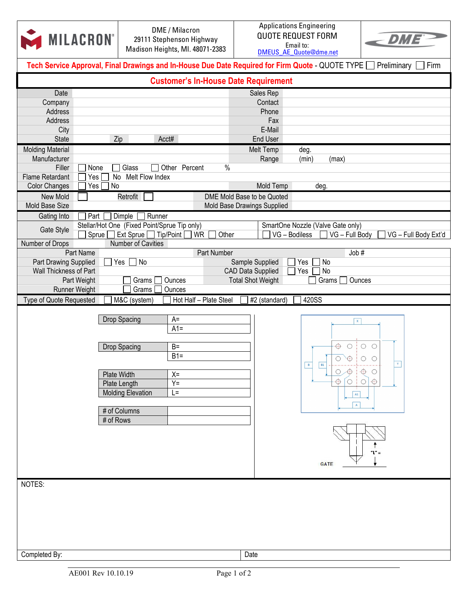|                                                                                                                           | <b>MILACRON®</b> |                                                                     | DME / Milacron<br>29111 Stephenson Highway<br>Madison Heights, MI. 48071-2383 |                                                      | <b>Applications Engineering</b><br><b>QUOTE REQUEST FORM</b><br>Email to:<br><b>DMEUS AE Quote@dme.net</b> | $\epsilon$ DME       |  |  |
|---------------------------------------------------------------------------------------------------------------------------|------------------|---------------------------------------------------------------------|-------------------------------------------------------------------------------|------------------------------------------------------|------------------------------------------------------------------------------------------------------------|----------------------|--|--|
| Tech Service Approval, Final Drawings and In-House Due Date Required for Firm Quote - QUOTE TYPE [<br>Preliminary<br>Firm |                  |                                                                     |                                                                               |                                                      |                                                                                                            |                      |  |  |
| <b>Customer's In-House Date Requirement</b>                                                                               |                  |                                                                     |                                                                               |                                                      |                                                                                                            |                      |  |  |
| Date                                                                                                                      |                  |                                                                     |                                                                               | Sales Rep                                            |                                                                                                            |                      |  |  |
| Company<br>Address                                                                                                        |                  |                                                                     |                                                                               | Contact<br>Phone                                     |                                                                                                            |                      |  |  |
| Address                                                                                                                   |                  |                                                                     |                                                                               | Fax                                                  |                                                                                                            |                      |  |  |
| City                                                                                                                      |                  |                                                                     |                                                                               | E-Mail                                               |                                                                                                            |                      |  |  |
| <b>State</b>                                                                                                              | Zip              |                                                                     | Acct#                                                                         | End User                                             |                                                                                                            |                      |  |  |
| <b>Molding Material</b>                                                                                                   |                  |                                                                     |                                                                               | Melt Temp                                            | deg.                                                                                                       |                      |  |  |
| Manufacturer<br>Filler                                                                                                    | None             | Glass                                                               | $\frac{0}{0}$<br>Other<br>Percent                                             | Range                                                | (min)<br>(max)                                                                                             |                      |  |  |
| <b>Flame Retardant</b>                                                                                                    | Yes<br>No        | Melt Flow Index                                                     |                                                                               |                                                      |                                                                                                            |                      |  |  |
| <b>Color Changes</b>                                                                                                      | No<br>Yes        |                                                                     |                                                                               | Mold Temp                                            | deg.                                                                                                       |                      |  |  |
| New Mold                                                                                                                  |                  | Retrofit                                                            |                                                                               | DME Mold Base to be Quoted                           |                                                                                                            |                      |  |  |
| Mold Base Size                                                                                                            |                  |                                                                     |                                                                               | Mold Base Drawings Supplied                          |                                                                                                            |                      |  |  |
| Gating Into                                                                                                               | Part             | Dimple<br>Runner                                                    |                                                                               |                                                      |                                                                                                            |                      |  |  |
| Gate Style                                                                                                                | Sprue            | Stellar/Hot One (Fixed Point/Sprue Tip only)<br>Ext Sprue Tip/Point | WR<br>Other                                                                   |                                                      | SmartOne Nozzle (Valve Gate only)<br>VG - Full Body<br>VG - Bodiless                                       | VG - Full Body Ext'd |  |  |
| Number of Drops                                                                                                           |                  | Number of Cavities                                                  |                                                                               |                                                      |                                                                                                            |                      |  |  |
|                                                                                                                           | Part Name        |                                                                     | Part Number                                                                   |                                                      | Job #                                                                                                      |                      |  |  |
| Part Drawing Supplied                                                                                                     |                  | Yes $\Box$ No                                                       |                                                                               | Sample Supplied                                      | Yes<br>No                                                                                                  |                      |  |  |
| Wall Thickness of Part                                                                                                    | Part Weight      | Grams                                                               | Ounces                                                                        | <b>CAD Data Supplied</b><br><b>Total Shot Weight</b> | Yes<br>No<br>Ounces<br>Grams                                                                               |                      |  |  |
| <b>Runner Weight</b>                                                                                                      |                  | Grams                                                               | Ounces                                                                        |                                                      |                                                                                                            |                      |  |  |
| Type of Quote Requested                                                                                                   |                  | M&C (system)                                                        | Hot Half - Plate Steel                                                        | #2 (standard)                                        | 420SS                                                                                                      |                      |  |  |
|                                                                                                                           |                  |                                                                     |                                                                               |                                                      |                                                                                                            |                      |  |  |
|                                                                                                                           |                  | Drop Spacing                                                        | $A=$<br>$A1=$                                                                 |                                                      | $\pmb{\times}$                                                                                             |                      |  |  |
|                                                                                                                           |                  |                                                                     |                                                                               |                                                      |                                                                                                            |                      |  |  |
| Drop Spacing                                                                                                              |                  |                                                                     | $B=$                                                                          |                                                      | ⊕<br>$\bigcirc$<br>$\bigcap$<br>О                                                                          |                      |  |  |
|                                                                                                                           |                  |                                                                     | $B1=$                                                                         |                                                      | $\mathbf{Y}$<br>⊕<br>$\circ$<br>O                                                                          |                      |  |  |
|                                                                                                                           |                  | Plate Width                                                         | $X =$                                                                         |                                                      |                                                                                                            |                      |  |  |
|                                                                                                                           |                  | Plate Length                                                        | $Y =$                                                                         |                                                      |                                                                                                            | -⊕<br>$\circ$        |  |  |
|                                                                                                                           |                  | <b>Molding Elevation</b>                                            | $L =$                                                                         |                                                      | $\mathsf{A1}$                                                                                              |                      |  |  |
|                                                                                                                           |                  |                                                                     |                                                                               |                                                      | $\mathsf A$                                                                                                |                      |  |  |
|                                                                                                                           | # of Rows        | # of Columns                                                        |                                                                               |                                                      |                                                                                                            |                      |  |  |
|                                                                                                                           |                  |                                                                     |                                                                               |                                                      |                                                                                                            |                      |  |  |
|                                                                                                                           |                  |                                                                     |                                                                               |                                                      |                                                                                                            |                      |  |  |
|                                                                                                                           |                  |                                                                     |                                                                               |                                                      |                                                                                                            | "L" =                |  |  |
|                                                                                                                           |                  |                                                                     |                                                                               |                                                      | <b>GATE</b>                                                                                                |                      |  |  |
|                                                                                                                           |                  |                                                                     |                                                                               |                                                      |                                                                                                            |                      |  |  |
| NOTES:                                                                                                                    |                  |                                                                     |                                                                               |                                                      |                                                                                                            |                      |  |  |
|                                                                                                                           |                  |                                                                     |                                                                               |                                                      |                                                                                                            |                      |  |  |
|                                                                                                                           |                  |                                                                     |                                                                               |                                                      |                                                                                                            |                      |  |  |
|                                                                                                                           |                  |                                                                     |                                                                               |                                                      |                                                                                                            |                      |  |  |
|                                                                                                                           |                  |                                                                     |                                                                               |                                                      |                                                                                                            |                      |  |  |
|                                                                                                                           |                  |                                                                     |                                                                               |                                                      |                                                                                                            |                      |  |  |
| Completed By:                                                                                                             |                  |                                                                     |                                                                               | Date                                                 |                                                                                                            |                      |  |  |